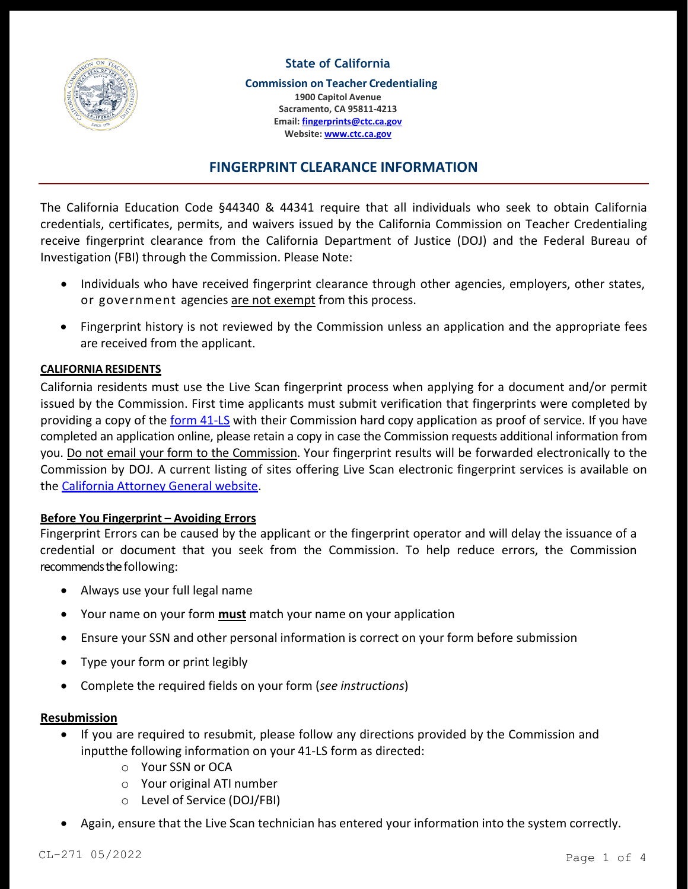

# **State of California**

**Commission on Teacher Credentialing 1900 Capitol Avenue Sacramento, CA 95811-4213 Email: [fingerprints@ctc.ca.gov](mailto:fingerprints@ctc.ca.gov) Website: [www.ctc.ca.gov](http://www.ctc.ca.gov/)**

# **FINGERPRINT CLEARANCE INFORMATION**

The California Education Code §44340 & 44341 require that all individuals who seek to obtain California credentials, certificates, permits, and waivers issued by the California Commission on Teacher Credentialing receive fingerprint clearance from the California Department of Justice (DOJ) and the Federal Bureau of Investigation (FBI) through the Commission. Please Note:

- Individuals who have received fingerprint clearance through other agencies, employers, other states, or government agencies are not exempt from this process.
- Fingerprint history is not reviewed by the Commission unless an application and the appropriate fees are received from the applicant.

# **CALIFORNIA RESIDENTS**

California residents must use the Live Scan fingerprint process when applying for a document and/or permit issued by the Commission. First time applicants must submit verification that fingerprints were completed by providing a copy of the **form 41-LS** with their Commission hard copy application as proof of service. If you have completed an application online, please retain a copy in case the Commission requests additional information from you. Do not email your form to the Commission. Your fingerprint results will be forwarded electronically to the Commission by DOJ. A current listing of sites offering Live Scan electronic fingerprint services is available on the California Attorney General website.

# **Before You Fingerprint – Avoiding Errors**

Fingerprint Errors can be caused by the applicant or the fingerprint operator and will delay the issuance of a credential or document that you seek from the Commission. To help reduce errors, the Commission recommends the following:

- Always use your full legal name
- Your name on your form **must** match your name on your application
- Ensure your SSN and other personal information is correct on your form before submission
- Type your form or print legibly
- Complete the required fields on your form (*see instructions*)

# **Resubmission**

- If you are required to resubmit, please follow any directions provided by the Commission and input the following information on your 41-LS form as directed:
	- o Your SSN or OCA
	- o Your original ATI number
	- o Level of Service (DOJ/FBI)
- Again, ensure that the Live Scan technician has entered your information into the system correctly.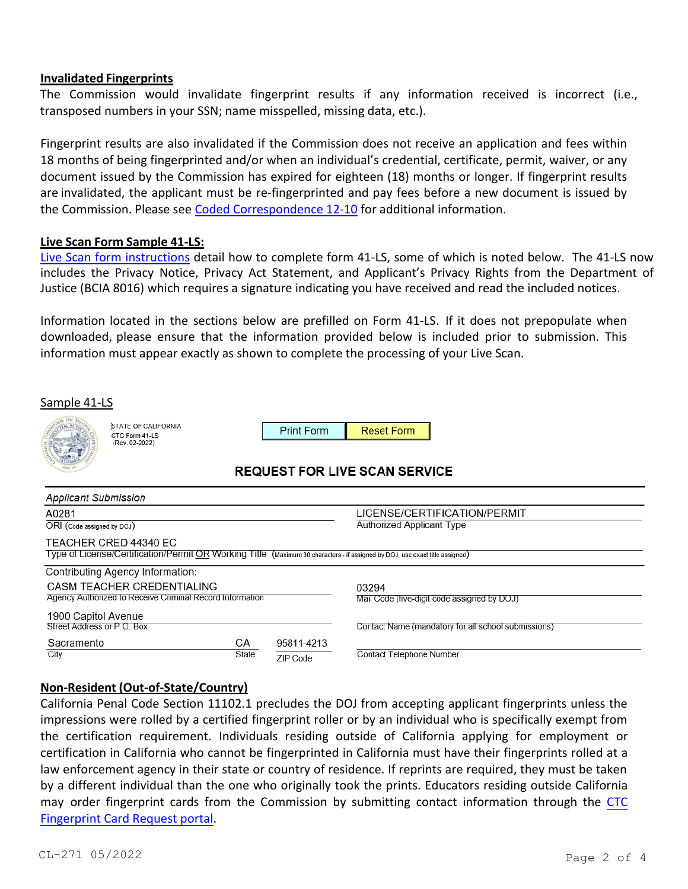## **Invalidated Fingerprints**

The Commission would invalidate fingerprint results if any information received is incorrect (i.e., transposed numbers in your SSN; name misspelled, missing data, etc.).

Fingerprint results are also invalidated if the Commission does not receive an application and fees within 18 months of being fingerprinted and/or when an individual's credential, certificate, permit, waiver, or any document issued by the Commission has expired for eighteen (18) months or longer. If fingerprint results are invalidated, the applicant must be re-fingerprinted and pay fees before a new document is issued by the Commission. Please see Coded Correspondence 12-10 for additional information.

## **Live Scan Form Sample 41-LS:**

Live Scan form instructions detail how to complete form 41-LS, some of which is noted below. The 41-LS now includes the Privacy Notice, Privacy Act Statement, and Applicant's Privacy Rights from the Department of Justice (BCIA 8016) which requires a signature indicating you have received and read the included notices.

Information located in the sections below are prefilled on Form 41-LS. If it does not prepopulate when downloaded, please ensure that the information provided below is included prior to submission. This information must appear exactly as shown to complete the processing of your Live Scan.

| Sample 41-LS                                                                                                                                          |                                                                |             |                                                           | <b>Reset Form</b><br><b>REQUEST FOR LIVE SCAN SERVICE</b> |                                                     |  |  |  |  |  |  |  |
|-------------------------------------------------------------------------------------------------------------------------------------------------------|----------------------------------------------------------------|-------------|-----------------------------------------------------------|-----------------------------------------------------------|-----------------------------------------------------|--|--|--|--|--|--|--|
|                                                                                                                                                       | <b>STATE OF CALIFORNIA</b><br>CTC Form 41-LS<br>(Rev. 02-2022) |             | <b>Print Form</b>                                         |                                                           |                                                     |  |  |  |  |  |  |  |
|                                                                                                                                                       |                                                                |             |                                                           |                                                           |                                                     |  |  |  |  |  |  |  |
| <b>Applicant Submission</b>                                                                                                                           |                                                                |             |                                                           |                                                           |                                                     |  |  |  |  |  |  |  |
| A0281<br>ORI (Code assigned by DOJ)                                                                                                                   |                                                                |             | LICENSE/CERTIFICATION/PERMIT<br>Authorized Applicant Type |                                                           |                                                     |  |  |  |  |  |  |  |
| TEACHER CRED 44340 EC<br>Type of License/Certification/Permit OR Working Title (Maximum 30 characters - if assigned by DOJ, use exact title assigned) |                                                                |             |                                                           |                                                           |                                                     |  |  |  |  |  |  |  |
| Contributing Agency Information:<br>CASM TEACHER CREDENTIALING<br>Agency Authorized to Receive Criminal Record Information                            |                                                                |             |                                                           | 03294<br>Mail Code (five-digit code assigned by DOJ)      |                                                     |  |  |  |  |  |  |  |
| 1900 Capitol Avenue<br>Street Address or P.O. Box                                                                                                     |                                                                |             |                                                           |                                                           | Contact Name (mandatory for all school submissions) |  |  |  |  |  |  |  |
| Sacramento<br>City                                                                                                                                    |                                                                | CA<br>State | 95811-4213<br>ZIP Code                                    | Contact Telephone Number                                  |                                                     |  |  |  |  |  |  |  |

# **Non-Resident (Out-of-State/Country)**

California Penal Code Section 11102.1 precludes the DOJ from accepting applicant fingerprints unless the impressions were rolled by a certified fingerprint roller or by an individual who is specifically exempt from the certification requirement. Individuals residing outside of California applying for employment or certification in California who cannot be fingerprinted in California must have their fingerprints rolled at a law enforcement agency in their state or country of residence. If reprints are required, they must be taken by a different individual than the one who originally took the prints. Educators residing outside California may order fingerprint cards from the Commission by submitting contact information through the CTC Fingerprint Card Request portal.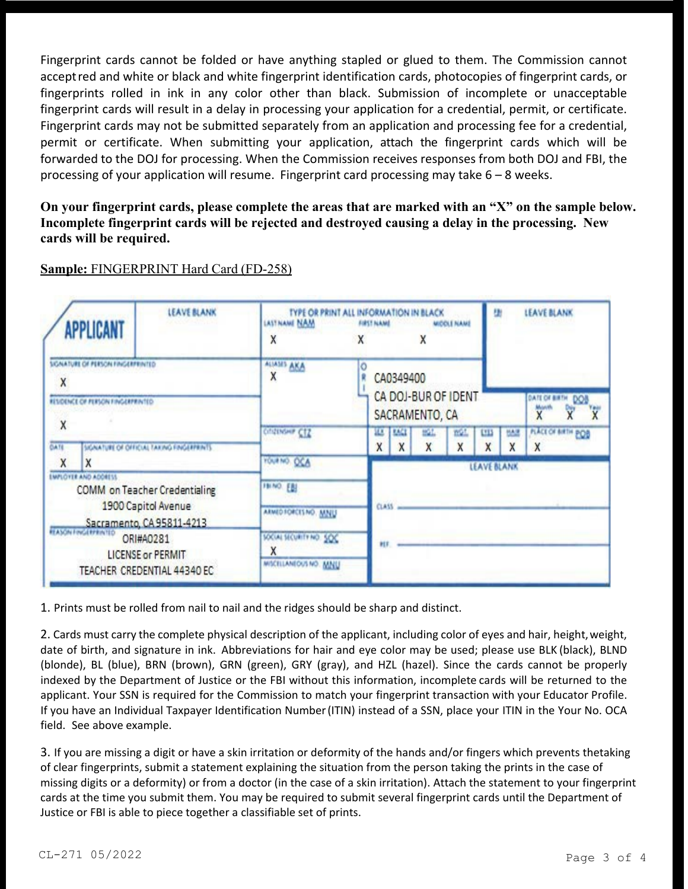Fingerprint cards cannot be folded or have anything stapled or glued to them. The Commission cannot acceptred and white or black and white fingerprint identification cards, photocopies of fingerprint cards, or fingerprints rolled in ink in any color other than black. Submission of incomplete or unacceptable fingerprint cards will result in a delay in processing your application for a credential, permit, or certificate. Fingerprint cards may not be submitted separately from an application and processing fee for a credential, permit or certificate. When submitting your application, attach the fingerprint cards which will be forwarded to the DOJ for processing. When the Commission receives responses from both DOJ and FBI, the processing of your application will resume. Fingerprint card processing may take 6 – 8 weeks.

**On your fingerprint cards, please complete the areas that are marked with an "X" on the sample below. Incomplete fingerprint cards will be rejected and destroyed causing a delay in the processing. New cards will be required.**

| <b>LEAVE BLANK</b><br><b>APPLICANT</b><br>SIGNATURE OF PERSON FINGERPRINTED<br>X<br>RESOUNCE OF PERSON FINGERPRINTED.<br>X<br><b>CATE</b><br>SIGNATURE OF OFFICIAL TAXING FINGERFRINTS<br>Χ<br>χ<br><b>EMPLOYER AND ADDRESS</b><br>COMM on Teacher Credentialing<br>1900 Capitol Avenue<br>Sacramento, CA 95811-4213<br>ORI#A0281<br><b>LICENSE or PERMIT</b><br>TEACHER CREDENTIAL 44340 EC |  | TYPE OR PRINT ALL INFORMATION IN BLACK<br>LASTNAME NAM<br>Χ<br>χ |              |                                                    | FIRST NAME<br>MIDDLE NAME |          |           |        | LEAVE BLANK<br>u     |                                |  |  |  |
|----------------------------------------------------------------------------------------------------------------------------------------------------------------------------------------------------------------------------------------------------------------------------------------------------------------------------------------------------------------------------------------------|--|------------------------------------------------------------------|--------------|----------------------------------------------------|---------------------------|----------|-----------|--------|----------------------|--------------------------------|--|--|--|
|                                                                                                                                                                                                                                                                                                                                                                                              |  | ALIASES AKA<br>Ō<br>Χ                                            |              | CA0349400<br>CA DOJ-BUR OF IDENT<br>SACRAMENTO, CA |                           |          |           |        | DATE OF BIETH<br>DOB |                                |  |  |  |
|                                                                                                                                                                                                                                                                                                                                                                                              |  | Citations CIS                                                    |              | ш<br>X                                             | <b>TACL</b><br>X          | щL,<br>X | m21.<br>Χ | E<br>X | <b>MAR</b><br>Χ      | <b>PLACE OF BIRTH POB</b><br>X |  |  |  |
|                                                                                                                                                                                                                                                                                                                                                                                              |  | YOURNO, OCA<br><b>HINO EBI</b><br>ARMED FORCES NO. MAIL          | <b>CLASS</b> |                                                    |                           |          |           |        | LEAVE BLANK          |                                |  |  |  |
|                                                                                                                                                                                                                                                                                                                                                                                              |  | SOCIAL SECURITY NO. SOC<br>х<br>MISCELLANEOUS NO. MINU           |              |                                                    |                           |          |           |        |                      |                                |  |  |  |

# **Sample:** FINGERPRINT Hard Card (FD-258)

1. Prints must be rolled from nail to nail and the ridges should be sharp and distinct.

2. Cards must carry the complete physical description of the applicant, including color of eyes and hair, height, weight, date of birth, and signature in ink. Abbreviations for hair and eye color may be used; please use BLK (black), BLND (blonde), BL (blue), BRN (brown), GRN (green), GRY (gray), and HZL (hazel). Since the cards cannot be properly indexed by the Department of Justice or the FBI without this information, incomplete cards will be returned to the applicant. Your SSN is required for the Commission to match your fingerprint transaction with your Educator Profile. If you have an Individual Taxpayer Identification Number(ITIN) instead of a SSN, place your ITIN in the Your No. OCA field. See above example.

3. If you are missing a digit or have a skin irritation or deformity of the hands and/or fingers which prevents thetaking of clear fingerprints, submit a statement explaining the situation from the person taking the prints in the case of missing digits or a deformity) or from a doctor (in the case of a skin irritation). Attach the statement to your fingerprint cards at the time you submit them. You may be required to submit several fingerprint cards until the Department of Justice or FBI is able to piece together a classifiable set of prints.